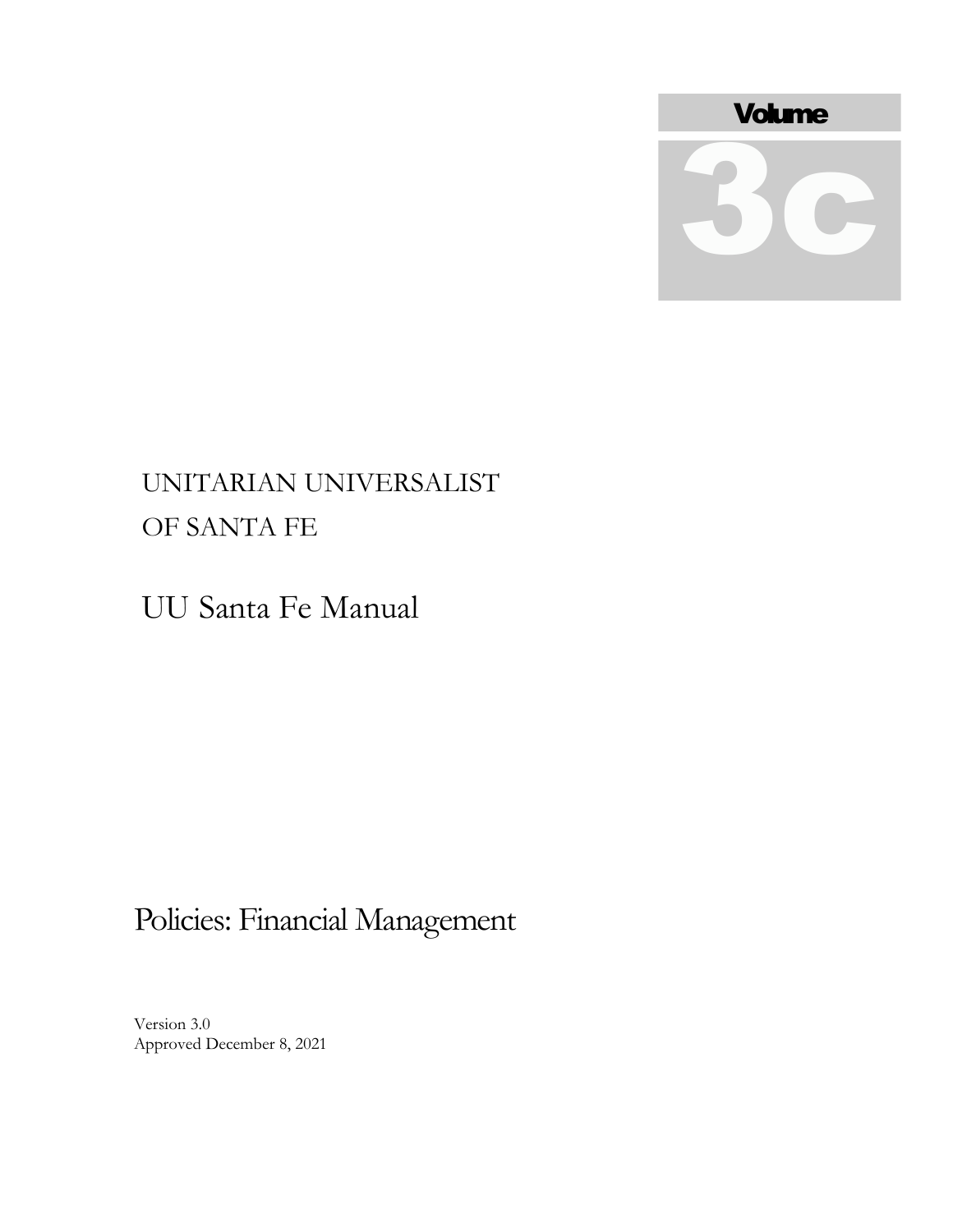

# UNITARIAN UNIVERSALIST OF SANTA FE

UU Santa Fe Manual

# Policies: Financial Management

Version 3.0 Approved December 8, 2021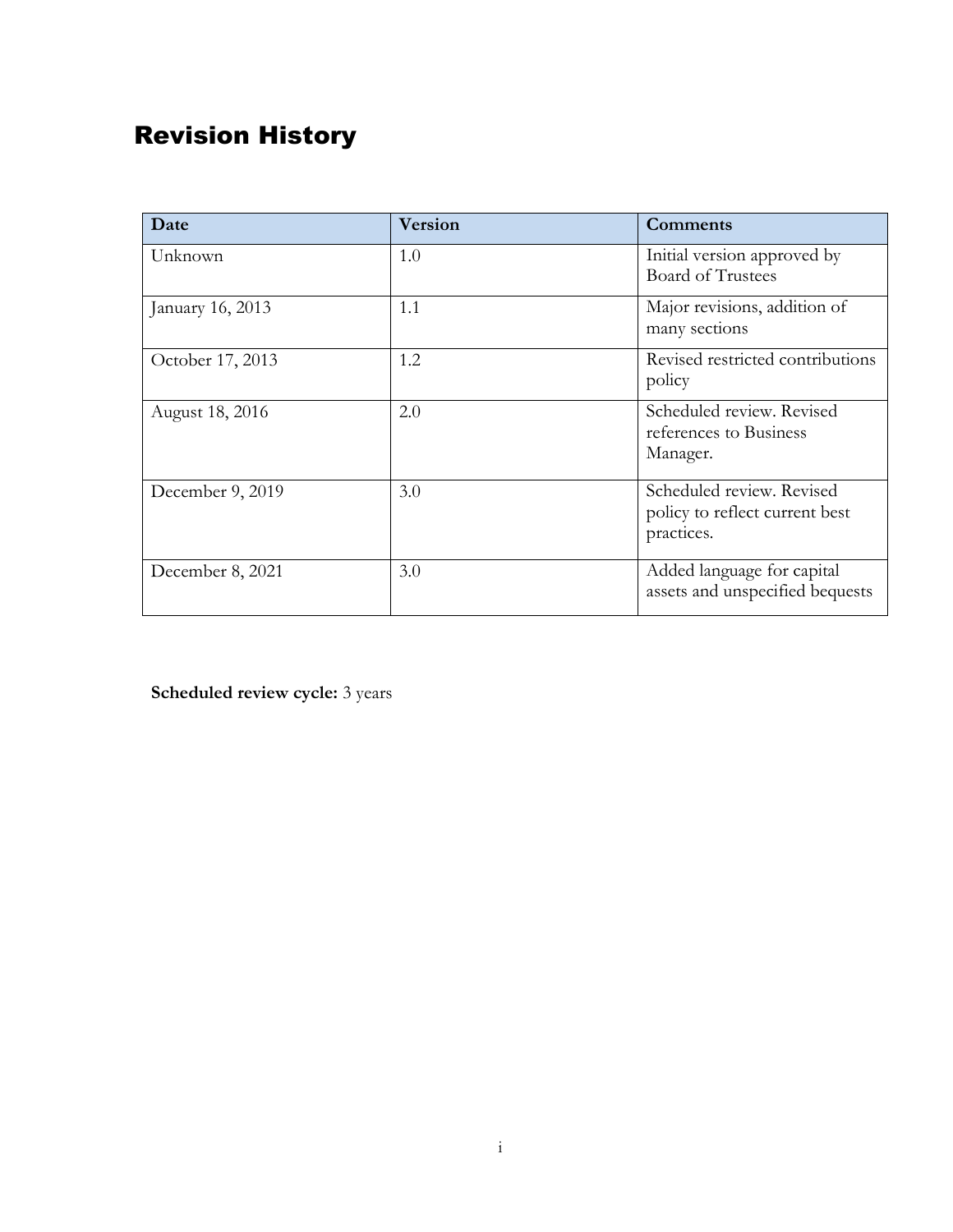# Revision History

| Date             | <b>Version</b> | <b>Comments</b>                                                           |
|------------------|----------------|---------------------------------------------------------------------------|
| Unknown          | 1.0            | Initial version approved by<br><b>Board of Trustees</b>                   |
| January 16, 2013 | 1.1            | Major revisions, addition of<br>many sections                             |
| October 17, 2013 | 1.2            | Revised restricted contributions<br>policy                                |
| August 18, 2016  | 2.0            | Scheduled review. Revised<br>references to Business<br>Manager.           |
| December 9, 2019 | 3.0            | Scheduled review. Revised<br>policy to reflect current best<br>practices. |
| December 8, 2021 | 3.0            | Added language for capital<br>assets and unspecified bequests             |

**Scheduled review cycle:** 3 years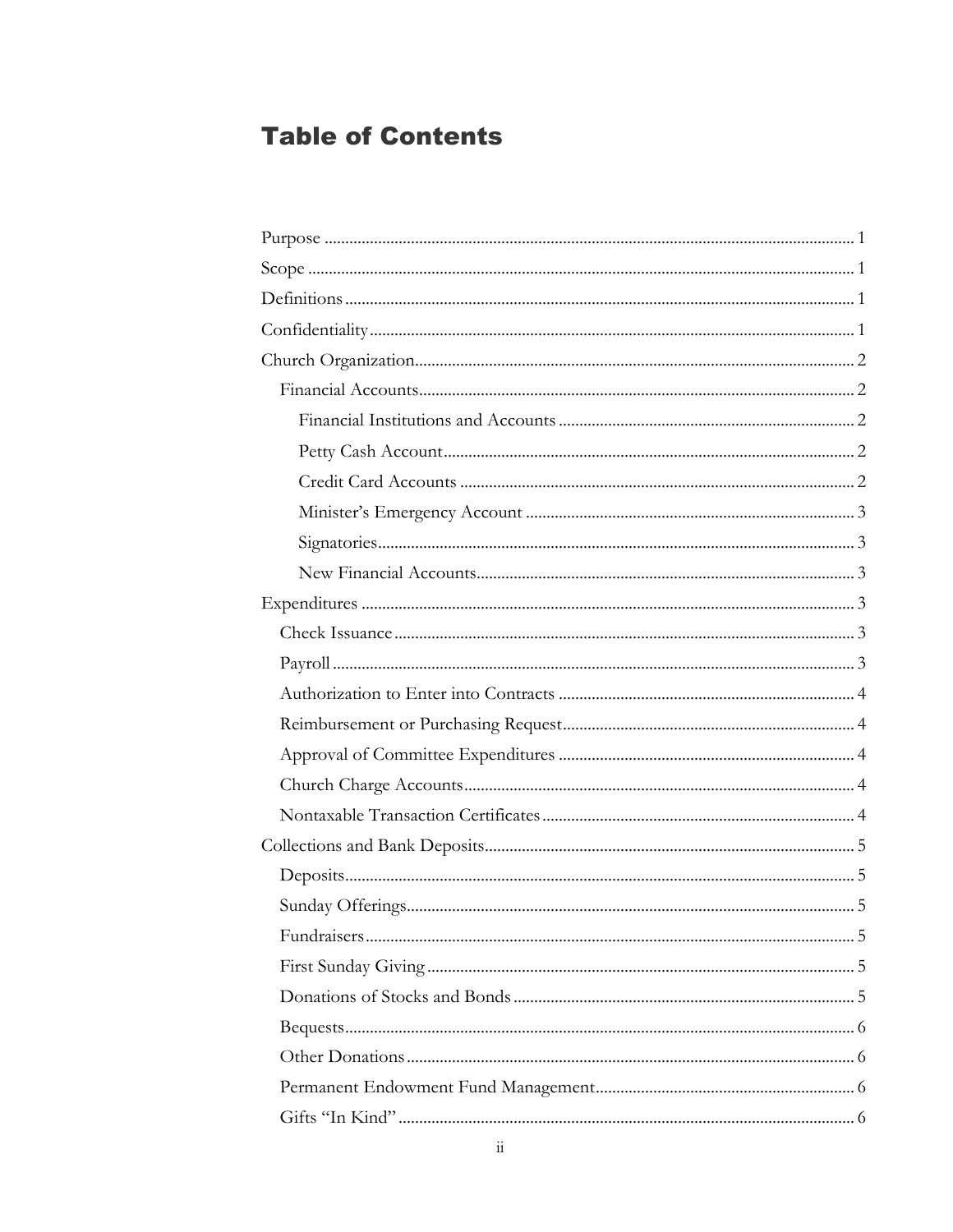## **Table of Contents**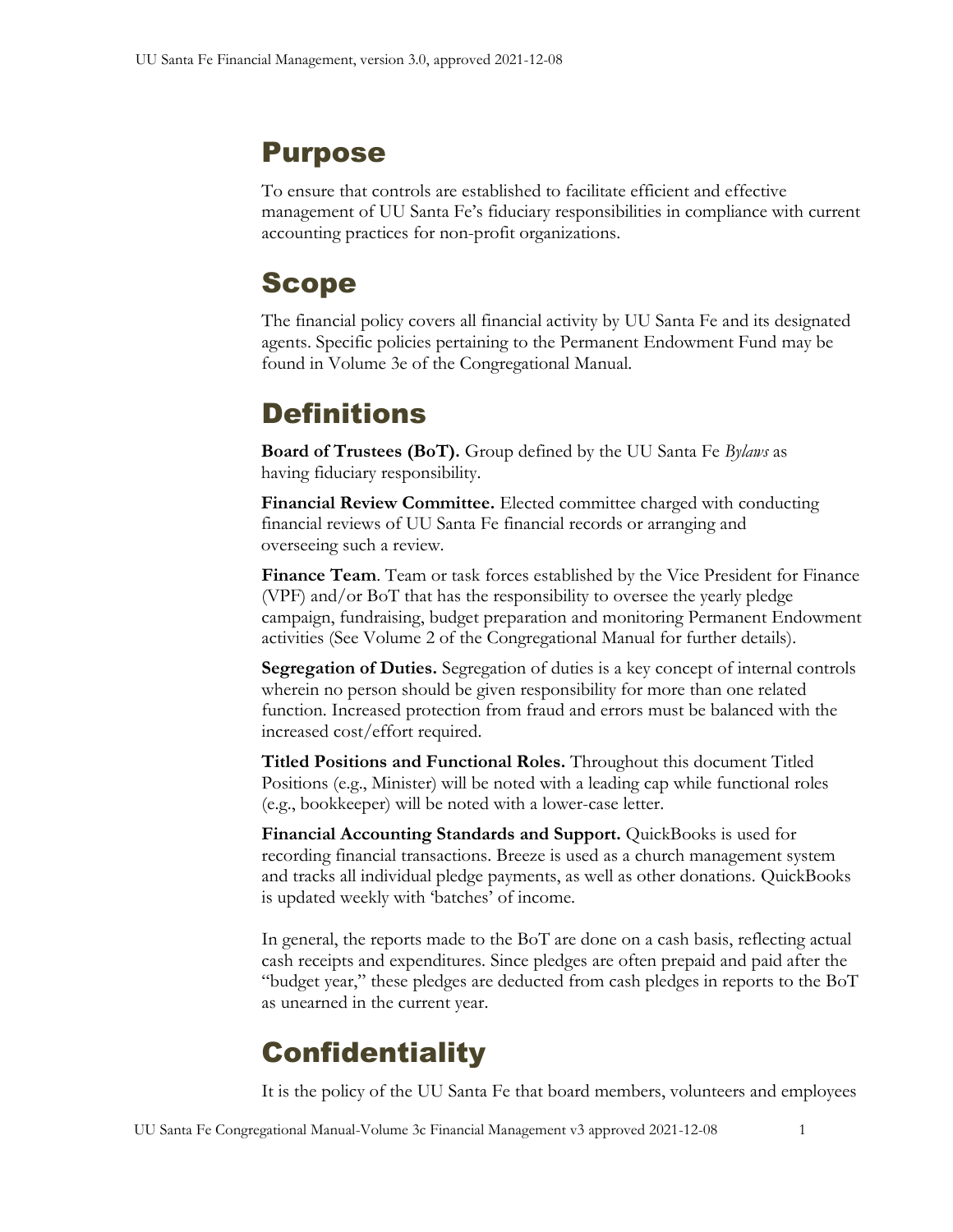## <span id="page-4-0"></span>Purpose

To ensure that controls are established to facilitate efficient and effective management of UU Santa Fe's fiduciary responsibilities in compliance with current accounting practices for non-profit organizations.

## <span id="page-4-1"></span>Scope

The financial policy covers all financial activity by UU Santa Fe and its designated agents. Specific policies pertaining to the Permanent Endowment Fund may be found in Volume 3e of the Congregational Manual.

# <span id="page-4-2"></span>**Definitions**

**Board of Trustees (BoT).** Group defined by the UU Santa Fe *Bylaws* as having fiduciary responsibility.

**Financial Review Committee.** Elected committee charged with conducting financial reviews of UU Santa Fe financial records or arranging and overseeing such a review.

**Finance Team**. Team or task forces established by the Vice President for Finance (VPF) and/or BoT that has the responsibility to oversee the yearly pledge campaign, fundraising, budget preparation and monitoring Permanent Endowment activities (See Volume 2 of the Congregational Manual for further details).

**Segregation of Duties.** Segregation of duties is a key concept of internal controls wherein no person should be given responsibility for more than one related function. Increased protection from fraud and errors must be balanced with the increased cost/effort required.

**Titled Positions and Functional Roles.** Throughout this document Titled Positions (e.g., Minister) will be noted with a leading cap while functional roles (e.g., bookkeeper) will be noted with a lower-case letter.

**Financial Accounting Standards and Support.** QuickBooks is used for recording financial transactions. Breeze is used as a church management system and tracks all individual pledge payments, as well as other donations. QuickBooks is updated weekly with 'batches' of income.

In general, the reports made to the BoT are done on a cash basis, reflecting actual cash receipts and expenditures. Since pledges are often prepaid and paid after the "budget year," these pledges are deducted from cash pledges in reports to the BoT as unearned in the current year.

# <span id="page-4-3"></span>**Confidentiality**

It is the policy of the UU Santa Fe that board members, volunteers and employees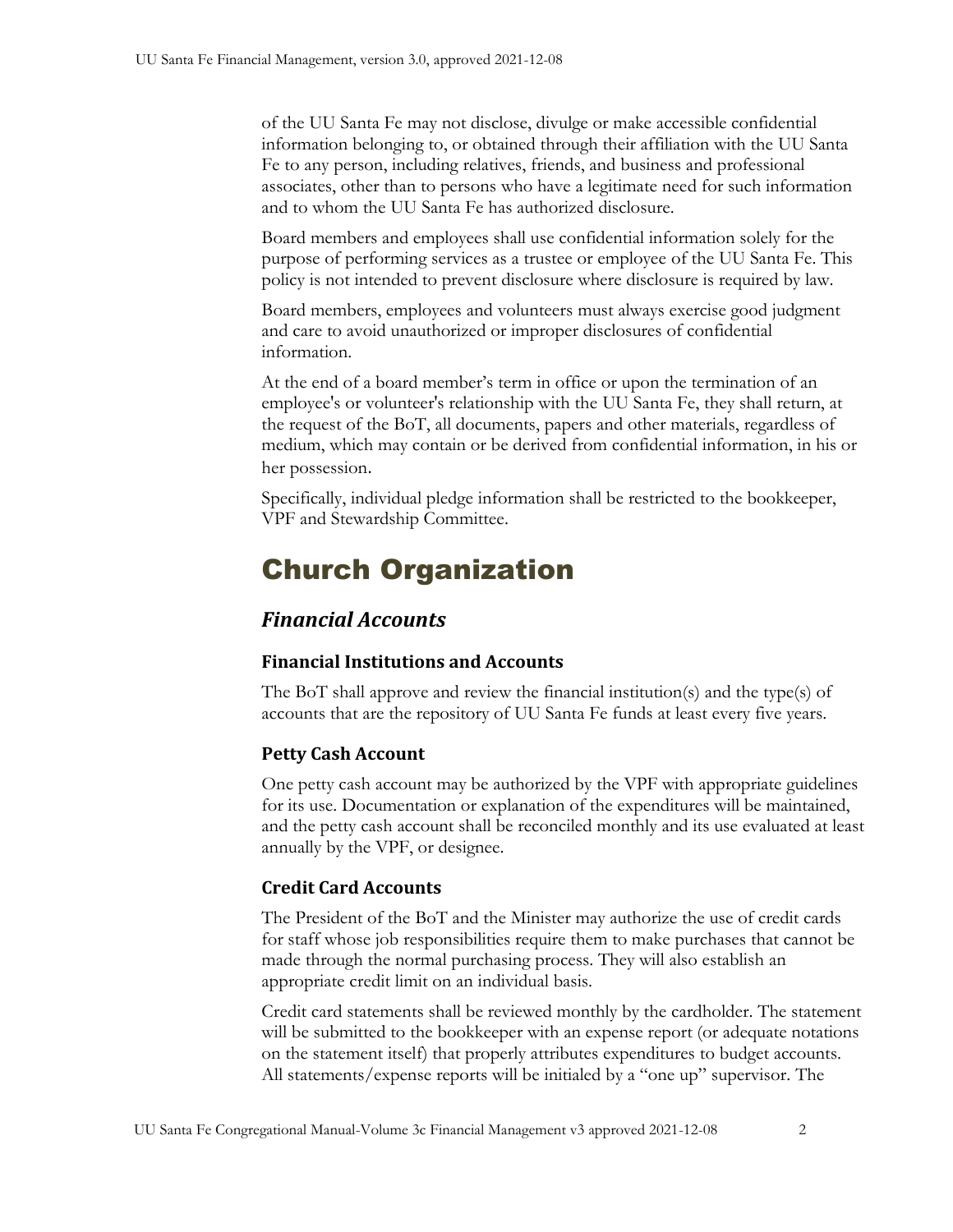of the UU Santa Fe may not disclose, divulge or make accessible confidential information belonging to, or obtained through their affiliation with the UU Santa Fe to any person, including relatives, friends, and business and professional associates, other than to persons who have a legitimate need for such information and to whom the UU Santa Fe has authorized disclosure.

Board members and employees shall use confidential information solely for the purpose of performing services as a trustee or employee of the UU Santa Fe. This policy is not intended to prevent disclosure where disclosure is required by law.

Board members, employees and volunteers must always exercise good judgment and care to avoid unauthorized or improper disclosures of confidential information.

At the end of a board member's term in office or upon the termination of an employee's or volunteer's relationship with the UU Santa Fe, they shall return, at the request of the BoT, all documents, papers and other materials, regardless of medium, which may contain or be derived from confidential information, in his or her possession.

Specifically, individual pledge information shall be restricted to the bookkeeper, VPF and Stewardship Committee.

# <span id="page-5-0"></span>Church Organization

### <span id="page-5-1"></span>*Financial Accounts*

#### <span id="page-5-2"></span>**Financial Institutions and Accounts**

The BoT shall approve and review the financial institution(s) and the type(s) of accounts that are the repository of UU Santa Fe funds at least every five years.

#### <span id="page-5-3"></span>**Petty Cash Account**

One petty cash account may be authorized by the VPF with appropriate guidelines for its use. Documentation or explanation of the expenditures will be maintained, and the petty cash account shall be reconciled monthly and its use evaluated at least annually by the VPF, or designee.

#### <span id="page-5-4"></span>**Credit Card Accounts**

The President of the BoT and the Minister may authorize the use of credit cards for staff whose job responsibilities require them to make purchases that cannot be made through the normal purchasing process. They will also establish an appropriate credit limit on an individual basis.

Credit card statements shall be reviewed monthly by the cardholder. The statement will be submitted to the bookkeeper with an expense report (or adequate notations on the statement itself) that properly attributes expenditures to budget accounts. All statements/expense reports will be initialed by a "one up" supervisor. The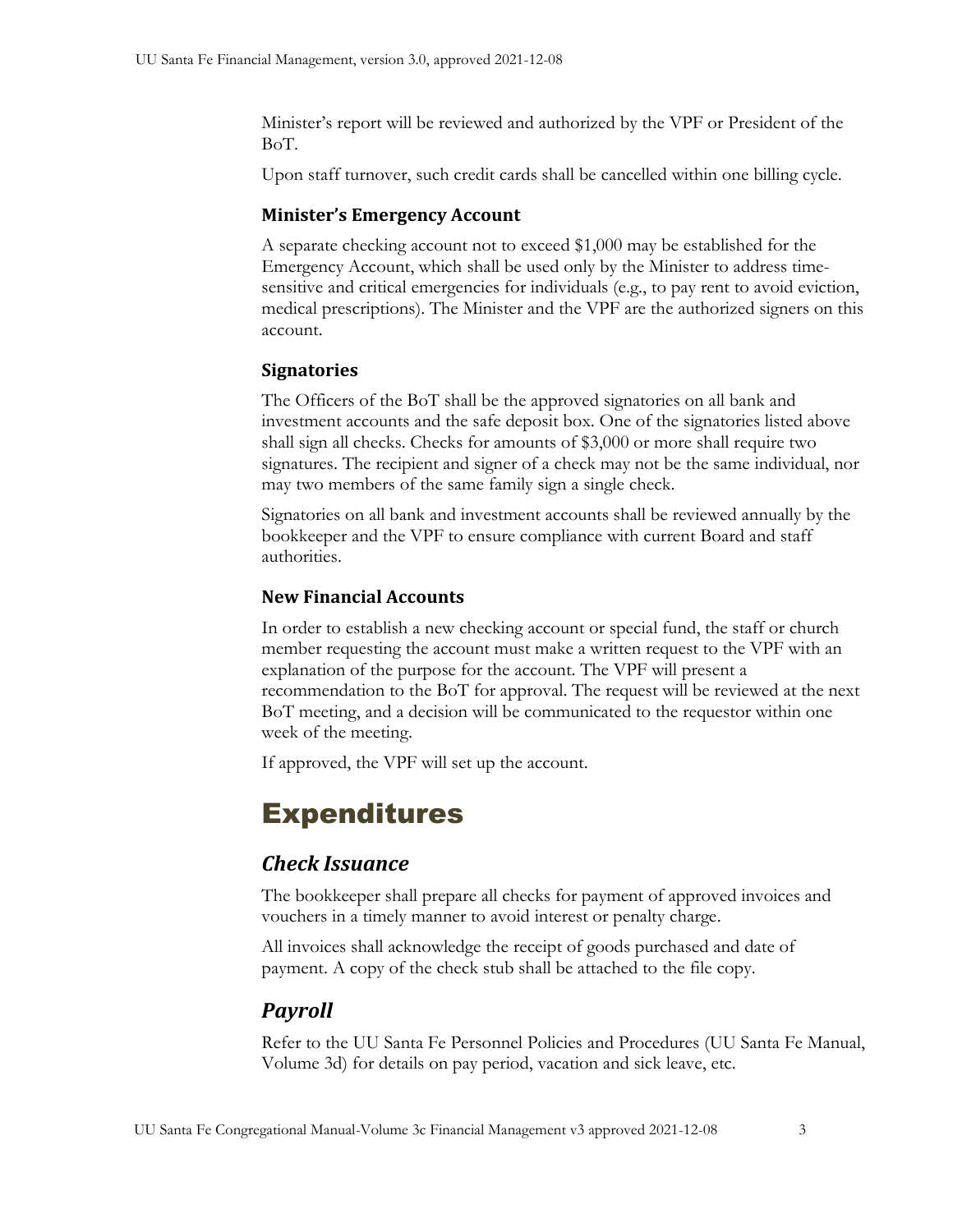Minister's report will be reviewed and authorized by the VPF or President of the BoT.

<span id="page-6-0"></span>Upon staff turnover, such credit cards shall be cancelled within one billing cycle.

#### **Minister's Emergency Account**

A separate checking account not to exceed \$1,000 may be established for the Emergency Account, which shall be used only by the Minister to address timesensitive and critical emergencies for individuals (e.g., to pay rent to avoid eviction, medical prescriptions). The Minister and the VPF are the authorized signers on this account.

#### <span id="page-6-1"></span>**Signatories**

The Officers of the BoT shall be the approved signatories on all bank and investment accounts and the safe deposit box. One of the signatories listed above shall sign all checks. Checks for amounts of \$3,000 or more shall require two signatures. The recipient and signer of a check may not be the same individual, nor may two members of the same family sign a single check.

Signatories on all bank and investment accounts shall be reviewed annually by the bookkeeper and the VPF to ensure compliance with current Board and staff authorities.

#### <span id="page-6-2"></span>**New Financial Accounts**

In order to establish a new checking account or special fund, the staff or church member requesting the account must make a written request to the VPF with an explanation of the purpose for the account. The VPF will present a recommendation to the BoT for approval. The request will be reviewed at the next BoT meeting, and a decision will be communicated to the requestor within one week of the meeting.

<span id="page-6-3"></span>If approved, the VPF will set up the account.

## Expenditures

## <span id="page-6-4"></span>*Check Issuance*

The bookkeeper shall prepare all checks for payment of approved invoices and vouchers in a timely manner to avoid interest or penalty charge.

All invoices shall acknowledge the receipt of goods purchased and date of payment. A copy of the check stub shall be attached to the file copy.

## <span id="page-6-5"></span>*Payroll*

Refer to the UU Santa Fe Personnel Policies and Procedures (UU Santa Fe Manual, Volume 3d) for details on pay period, vacation and sick leave, etc.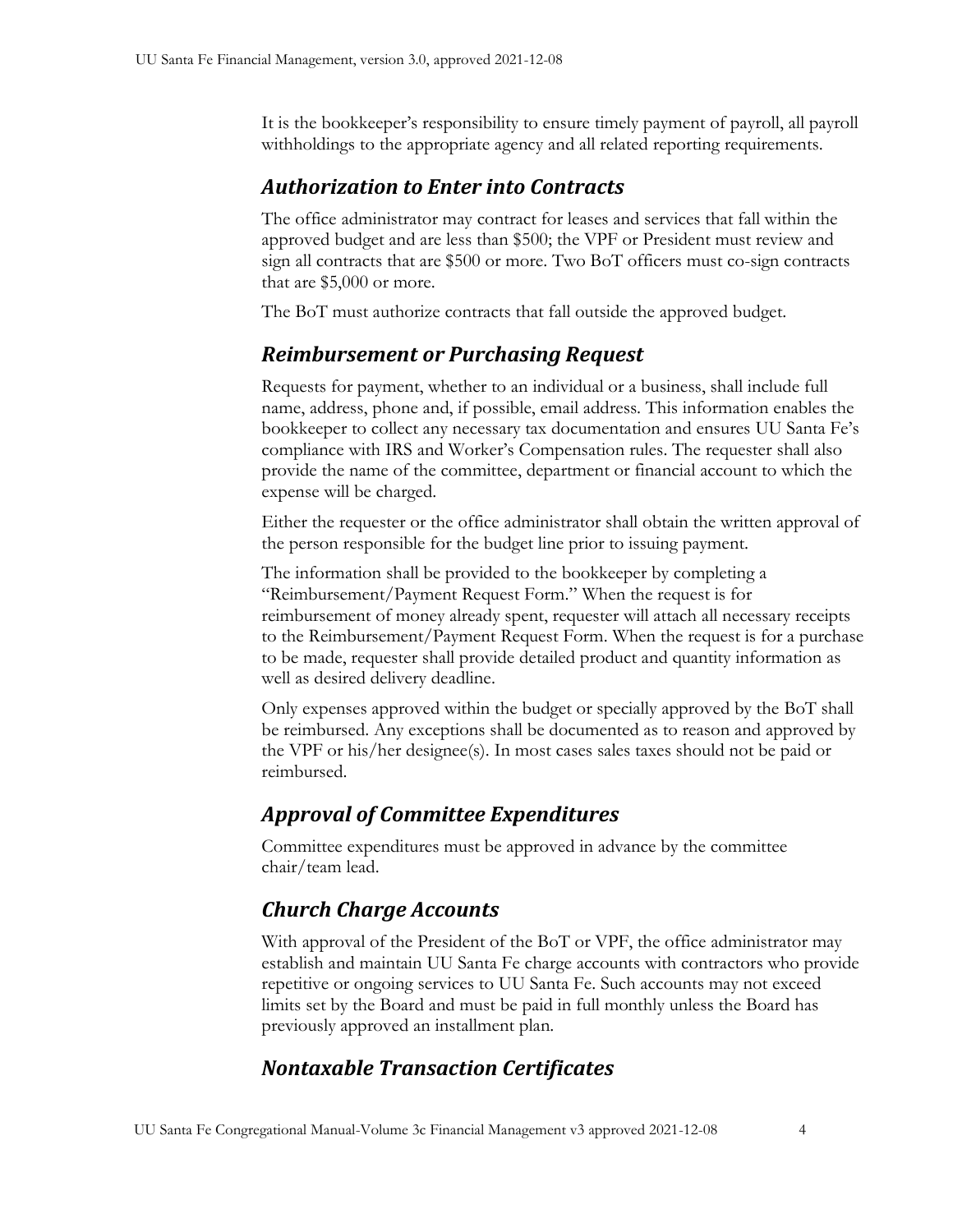It is the bookkeeper's responsibility to ensure timely payment of payroll, all payroll withholdings to the appropriate agency and all related reporting requirements.

## <span id="page-7-0"></span>*Authorization to Enter into Contracts*

The office administrator may contract for leases and services that fall within the approved budget and are less than \$500; the VPF or President must review and sign all contracts that are \$500 or more. Two BoT officers must co-sign contracts that are \$5,000 or more.

The BoT must authorize contracts that fall outside the approved budget.

## <span id="page-7-1"></span>*Reimbursement or Purchasing Request*

Requests for payment, whether to an individual or a business, shall include full name, address, phone and, if possible, email address. This information enables the bookkeeper to collect any necessary tax documentation and ensures UU Santa Fe's compliance with IRS and Worker's Compensation rules. The requester shall also provide the name of the committee, department or financial account to which the expense will be charged.

Either the requester or the office administrator shall obtain the written approval of the person responsible for the budget line prior to issuing payment.

The information shall be provided to the bookkeeper by completing a "Reimbursement/Payment Request Form." When the request is for reimbursement of money already spent, requester will attach all necessary receipts to the Reimbursement/Payment Request Form. When the request is for a purchase to be made, requester shall provide detailed product and quantity information as well as desired delivery deadline.

Only expenses approved within the budget or specially approved by the BoT shall be reimbursed. Any exceptions shall be documented as to reason and approved by the VPF or his/her designee(s). In most cases sales taxes should not be paid or reimbursed.

## <span id="page-7-2"></span>*Approval of Committee Expenditures*

Committee expenditures must be approved in advance by the committee chair/team lead.

## <span id="page-7-3"></span>*Church Charge Accounts*

With approval of the President of the BoT or VPF, the office administrator may establish and maintain UU Santa Fe charge accounts with contractors who provide repetitive or ongoing services to UU Santa Fe. Such accounts may not exceed limits set by the Board and must be paid in full monthly unless the Board has previously approved an installment plan.

## <span id="page-7-4"></span>*Nontaxable Transaction Certificates*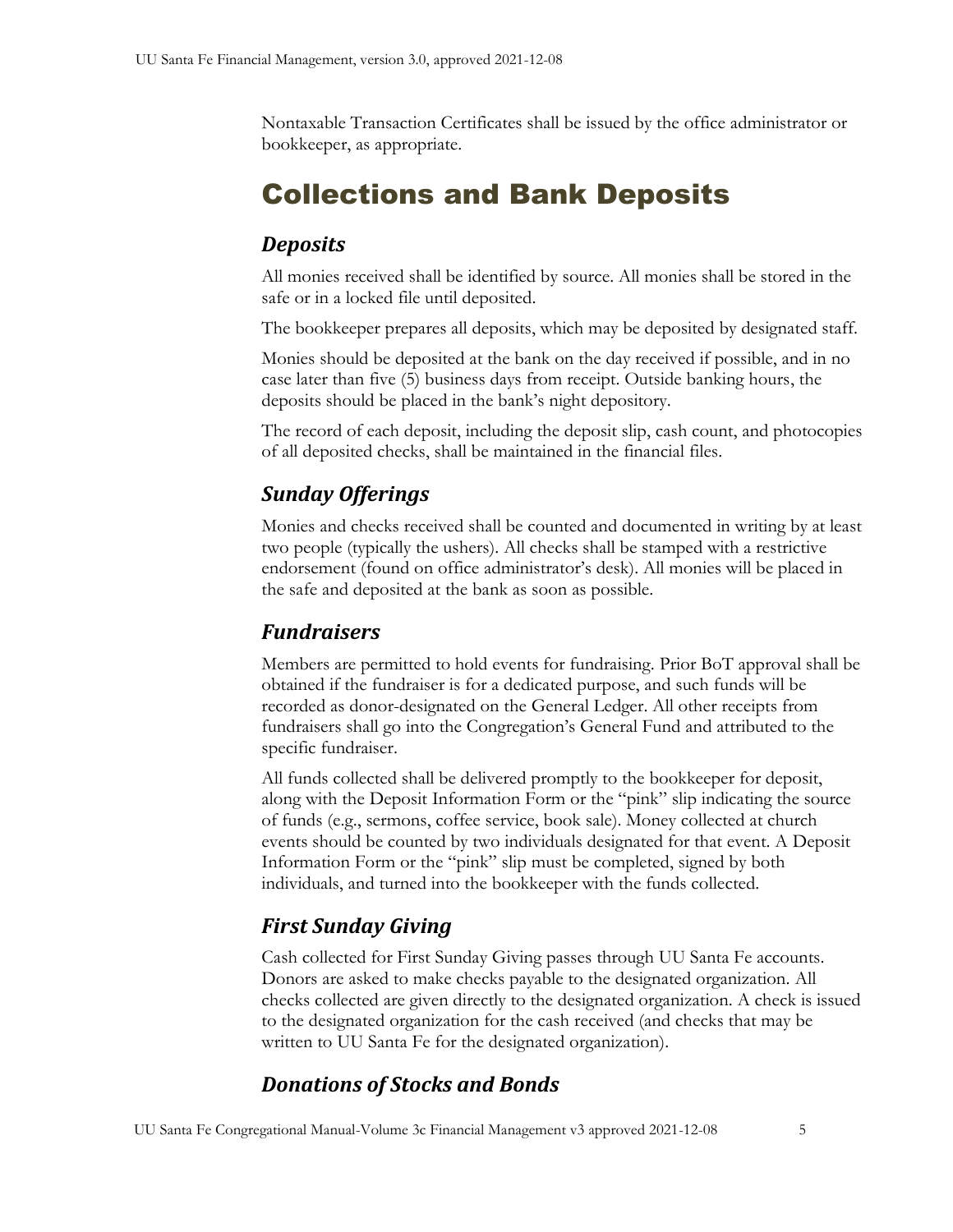Nontaxable Transaction Certificates shall be issued by the office administrator or bookkeeper, as appropriate.

## <span id="page-8-0"></span>Collections and Bank Deposits

#### <span id="page-8-1"></span>*Deposits*

All monies received shall be identified by source. All monies shall be stored in the safe or in a locked file until deposited.

The bookkeeper prepares all deposits, which may be deposited by designated staff.

Monies should be deposited at the bank on the day received if possible, and in no case later than five (5) business days from receipt. Outside banking hours, the deposits should be placed in the bank's night depository.

The record of each deposit, including the deposit slip, cash count, and photocopies of all deposited checks, shall be maintained in the financial files.

## <span id="page-8-2"></span>*Sunday Offerings*

Monies and checks received shall be counted and documented in writing by at least two people (typically the ushers). All checks shall be stamped with a restrictive endorsement (found on office administrator's desk). All monies will be placed in the safe and deposited at the bank as soon as possible.

#### <span id="page-8-3"></span>*Fundraisers*

Members are permitted to hold events for fundraising. Prior BoT approval shall be obtained if the fundraiser is for a dedicated purpose, and such funds will be recorded as donor-designated on the General Ledger. All other receipts from fundraisers shall go into the Congregation's General Fund and attributed to the specific fundraiser.

All funds collected shall be delivered promptly to the bookkeeper for deposit, along with the Deposit Information Form or the "pink" slip indicating the source of funds (e.g., sermons, coffee service, book sale). Money collected at church events should be counted by two individuals designated for that event. A Deposit Information Form or the "pink" slip must be completed, signed by both individuals, and turned into the bookkeeper with the funds collected.

## <span id="page-8-4"></span>*First Sunday Giving*

Cash collected for First Sunday Giving passes through UU Santa Fe accounts. Donors are asked to make checks payable to the designated organization. All checks collected are given directly to the designated organization. A check is issued to the designated organization for the cash received (and checks that may be written to UU Santa Fe for the designated organization).

## <span id="page-8-5"></span>*Donations of Stocks and Bonds*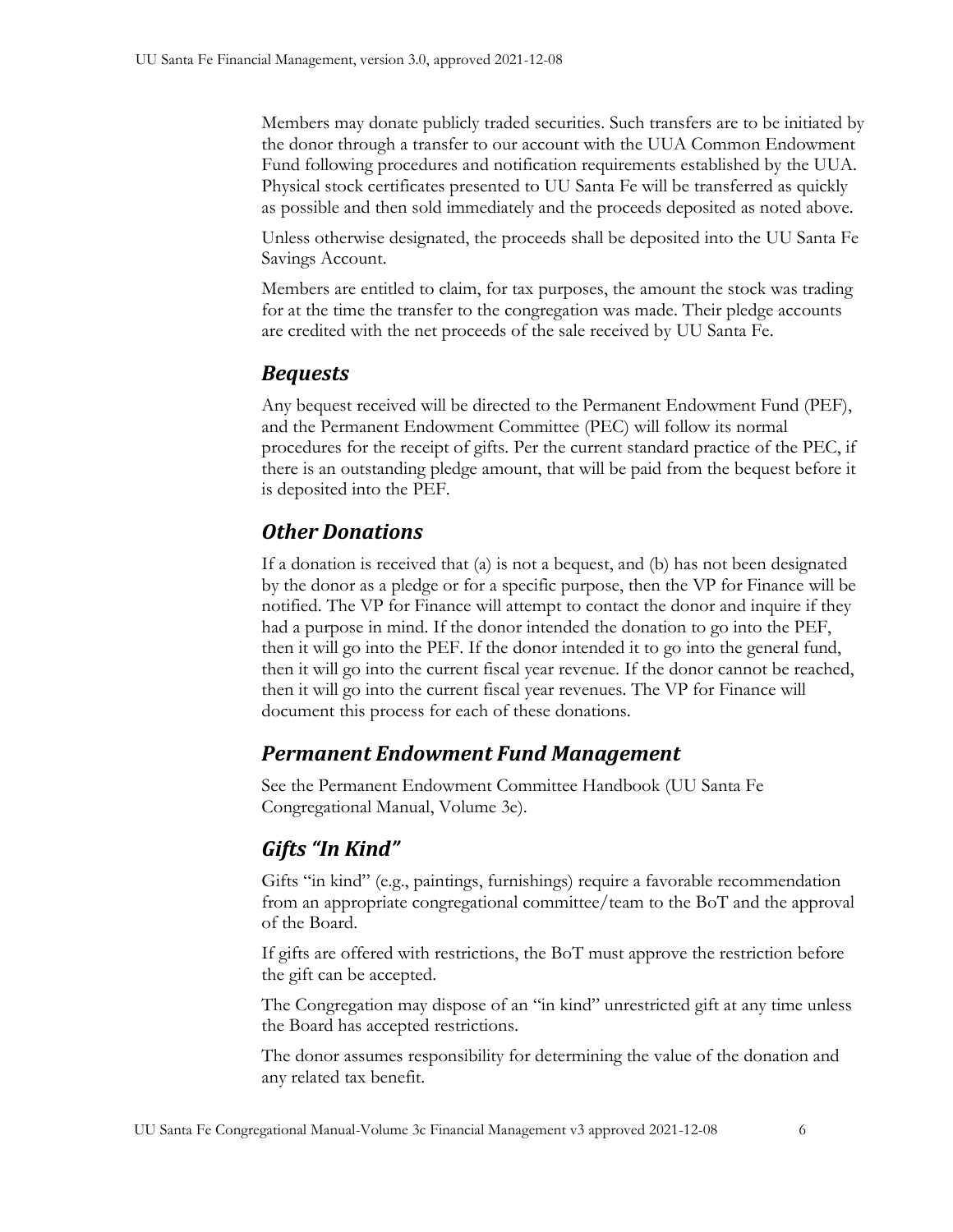Members may donate publicly traded securities. Such transfers are to be initiated by the donor through a transfer to our account with the UUA Common Endowment Fund following procedures and notification requirements established by the UUA. Physical stock certificates presented to UU Santa Fe will be transferred as quickly as possible and then sold immediately and the proceeds deposited as noted above.

Unless otherwise designated, the proceeds shall be deposited into the UU Santa Fe Savings Account.

Members are entitled to claim, for tax purposes, the amount the stock was trading for at the time the transfer to the congregation was made. Their pledge accounts are credited with the net proceeds of the sale received by UU Santa Fe.

#### <span id="page-9-0"></span>*Bequests*

Any bequest received will be directed to the Permanent Endowment Fund (PEF), and the Permanent Endowment Committee (PEC) will follow its normal procedures for the receipt of gifts. Per the current standard practice of the PEC, if there is an outstanding pledge amount, that will be paid from the bequest before it is deposited into the PEF.

## <span id="page-9-1"></span>*Other Donations*

If a donation is received that (a) is not a bequest, and (b) has not been designated by the donor as a pledge or for a specific purpose, then the VP for Finance will be notified. The VP for Finance will attempt to contact the donor and inquire if they had a purpose in mind. If the donor intended the donation to go into the PEF, then it will go into the PEF. If the donor intended it to go into the general fund, then it will go into the current fiscal year revenue. If the donor cannot be reached, then it will go into the current fiscal year revenues. The VP for Finance will document this process for each of these donations.

## <span id="page-9-2"></span>*Permanent Endowment Fund Management*

See the Permanent Endowment Committee Handbook (UU Santa Fe Congregational Manual, Volume 3e).

## <span id="page-9-3"></span>*Gifts "In Kind"*

Gifts "in kind" (e.g., paintings, furnishings) require a favorable recommendation from an appropriate congregational committee/team to the BoT and the approval of the Board.

If gifts are offered with restrictions, the BoT must approve the restriction before the gift can be accepted.

The Congregation may dispose of an "in kind" unrestricted gift at any time unless the Board has accepted restrictions.

The donor assumes responsibility for determining the value of the donation and any related tax benefit.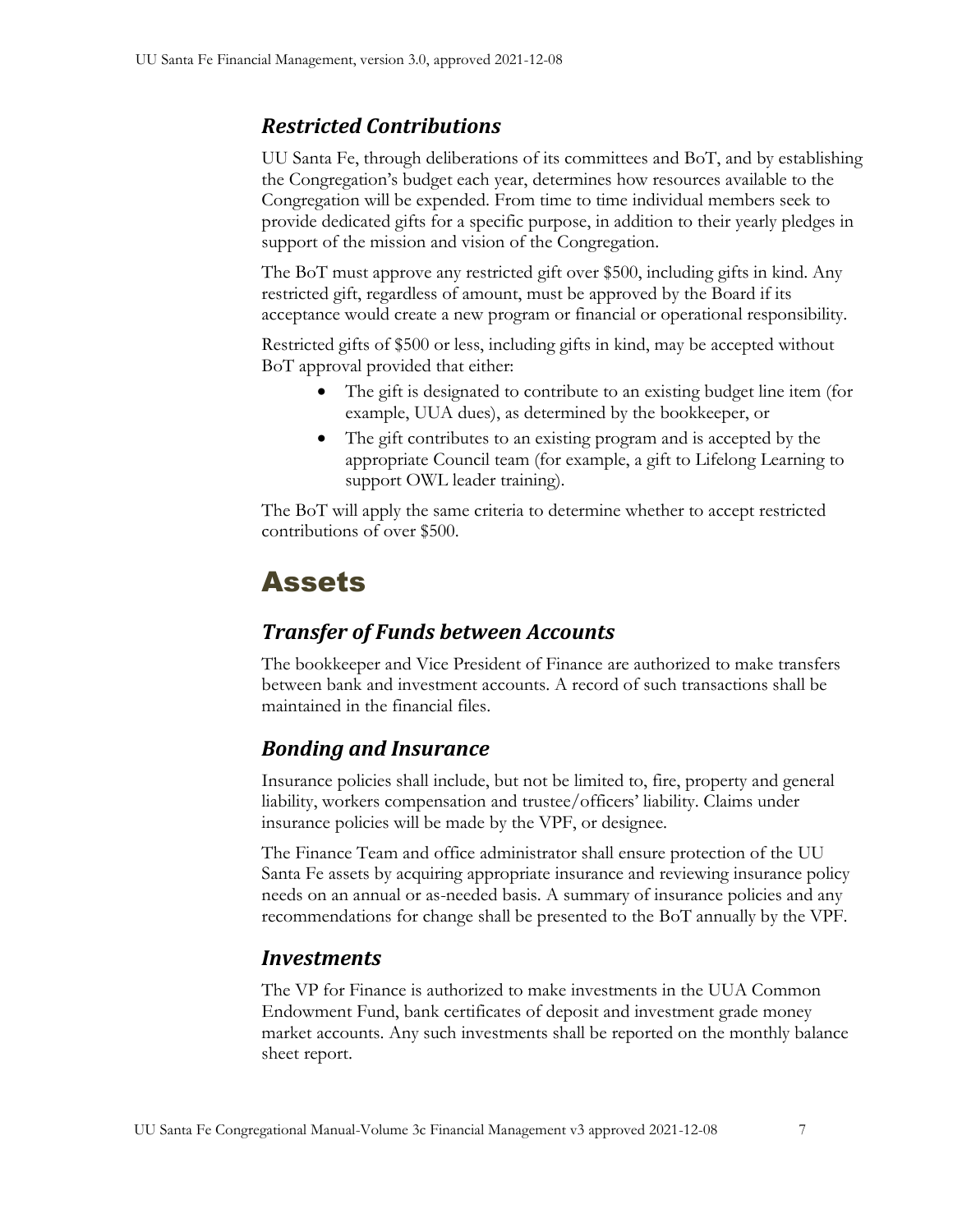## <span id="page-10-0"></span>*Restricted Contributions*

UU Santa Fe, through deliberations of its committees and BoT, and by establishing the Congregation's budget each year, determines how resources available to the Congregation will be expended. From time to time individual members seek to provide dedicated gifts for a specific purpose, in addition to their yearly pledges in support of the mission and vision of the Congregation.

The BoT must approve any restricted gift over \$500, including gifts in kind. Any restricted gift, regardless of amount, must be approved by the Board if its acceptance would create a new program or financial or operational responsibility.

Restricted gifts of \$500 or less, including gifts in kind, may be accepted without BoT approval provided that either:

- The gift is designated to contribute to an existing budget line item (for example, UUA dues), as determined by the bookkeeper, or
- The gift contributes to an existing program and is accepted by the appropriate Council team (for example, a gift to Lifelong Learning to support OWL leader training).

The BoT will apply the same criteria to determine whether to accept restricted contributions of over \$500.

## <span id="page-10-1"></span>Assets

## <span id="page-10-2"></span>*Transfer of Funds between Accounts*

The bookkeeper and Vice President of Finance are authorized to make transfers between bank and investment accounts. A record of such transactions shall be maintained in the financial files.

## <span id="page-10-3"></span>*Bonding and Insurance*

Insurance policies shall include, but not be limited to, fire, property and general liability, workers compensation and trustee/officers' liability. Claims under insurance policies will be made by the VPF, or designee.

The Finance Team and office administrator shall ensure protection of the UU Santa Fe assets by acquiring appropriate insurance and reviewing insurance policy needs on an annual or as-needed basis. A summary of insurance policies and any recommendations for change shall be presented to the BoT annually by the VPF.

#### <span id="page-10-4"></span>*Investments*

The VP for Finance is authorized to make investments in the UUA Common Endowment Fund, bank certificates of deposit and investment grade money market accounts. Any such investments shall be reported on the monthly balance sheet report.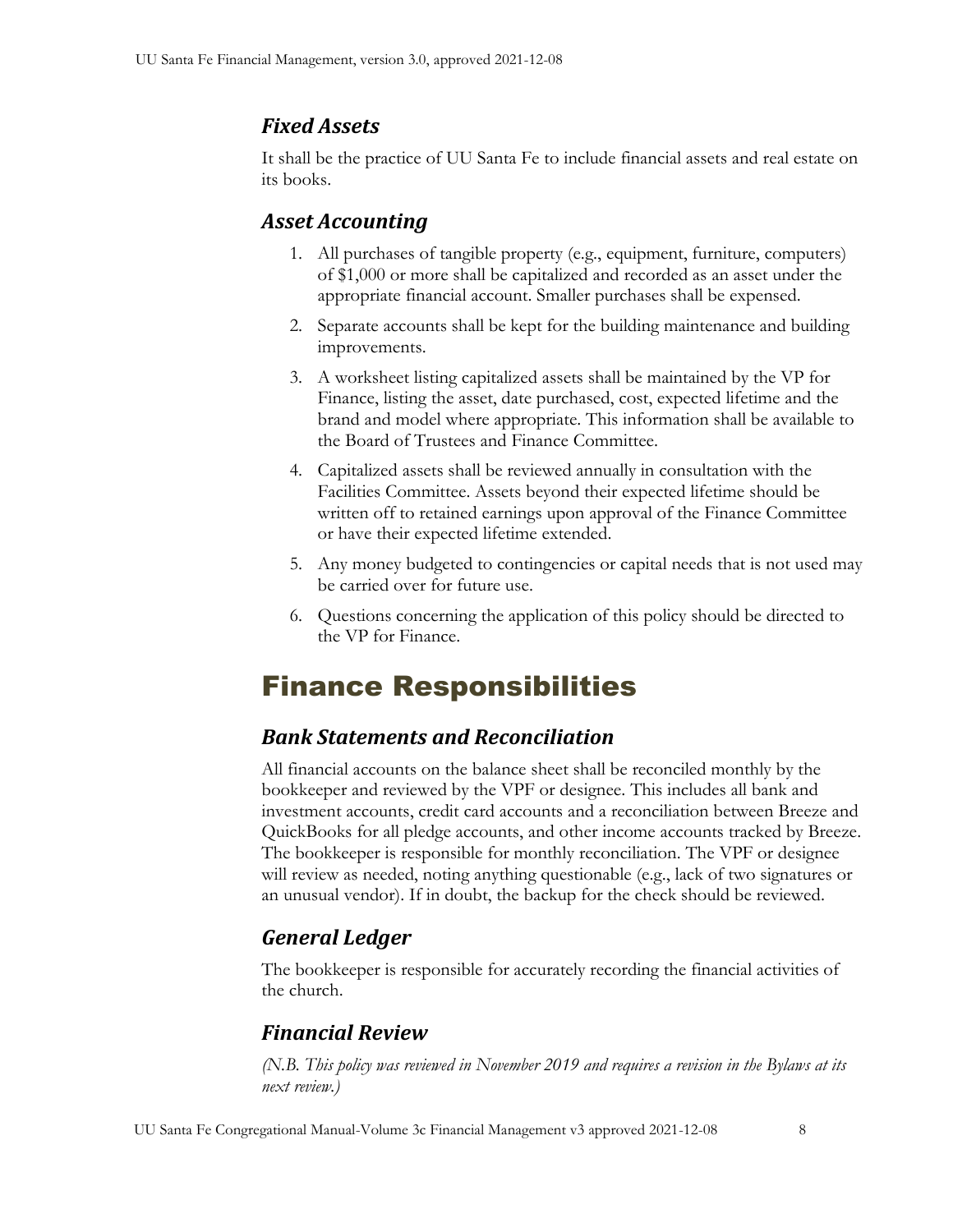## <span id="page-11-0"></span>*Fixed Assets*

It shall be the practice of UU Santa Fe to include financial assets and real estate on its books.

## <span id="page-11-1"></span>*Asset Accounting*

- 1. All purchases of tangible property (e.g., equipment, furniture, computers) of \$1,000 or more shall be capitalized and recorded as an asset under the appropriate financial account. Smaller purchases shall be expensed.
- 2. Separate accounts shall be kept for the building maintenance and building improvements.
- 3. A worksheet listing capitalized assets shall be maintained by the VP for Finance, listing the asset, date purchased, cost, expected lifetime and the brand and model where appropriate. This information shall be available to the Board of Trustees and Finance Committee.
- 4. Capitalized assets shall be reviewed annually in consultation with the Facilities Committee. Assets beyond their expected lifetime should be written off to retained earnings upon approval of the Finance Committee or have their expected lifetime extended.
- 5. Any money budgeted to contingencies or capital needs that is not used may be carried over for future use.
- 6. Questions concerning the application of this policy should be directed to the VP for Finance.

# <span id="page-11-2"></span>Finance Responsibilities

## <span id="page-11-3"></span>*Bank Statements and Reconciliation*

All financial accounts on the balance sheet shall be reconciled monthly by the bookkeeper and reviewed by the VPF or designee. This includes all bank and investment accounts, credit card accounts and a reconciliation between Breeze and QuickBooks for all pledge accounts, and other income accounts tracked by Breeze. The bookkeeper is responsible for monthly reconciliation. The VPF or designee will review as needed, noting anything questionable (e.g., lack of two signatures or an unusual vendor). If in doubt, the backup for the check should be reviewed.

## <span id="page-11-4"></span>*General Ledger*

The bookkeeper is responsible for accurately recording the financial activities of the church.

## <span id="page-11-5"></span>*Financial Review*

*(N.B. This policy was reviewed in November 2019 and requires a revision in the Bylaws at its next review.)*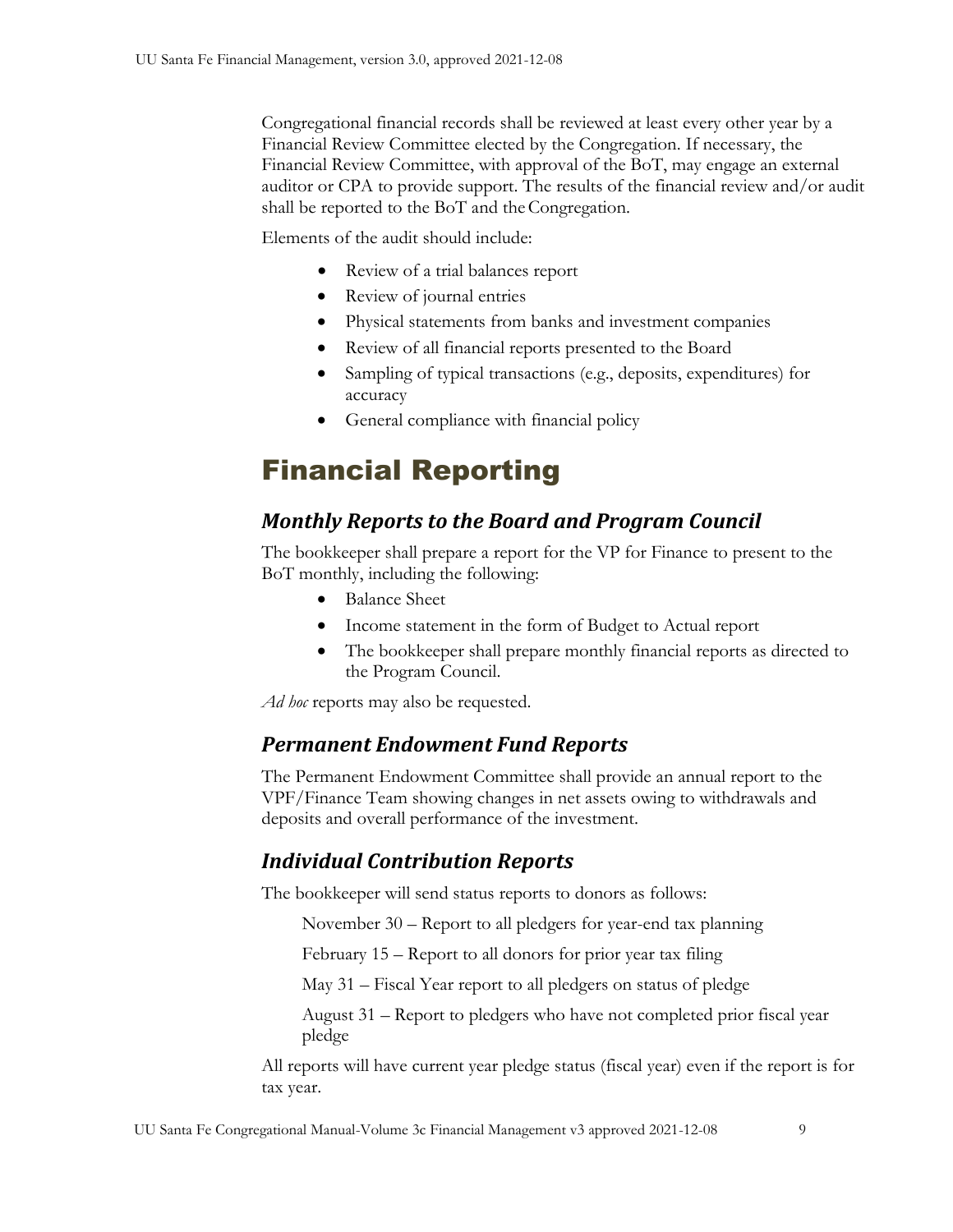Congregational financial records shall be reviewed at least every other year by a Financial Review Committee elected by the Congregation. If necessary, the Financial Review Committee, with approval of the BoT, may engage an external auditor or CPA to provide support. The results of the financial review and/or audit shall be reported to the BoT and the Congregation.

Elements of the audit should include:

- Review of a trial balances report
- Review of journal entries
- Physical statements from banks and investment companies
- Review of all financial reports presented to the Board
- Sampling of typical transactions (e.g., deposits, expenditures) for accuracy
- General compliance with financial policy

## <span id="page-12-0"></span>Financial Reporting

## <span id="page-12-1"></span>*Monthly Reports to the Board and Program Council*

The bookkeeper shall prepare a report for the VP for Finance to present to the BoT monthly, including the following:

- Balance Sheet
- Income statement in the form of Budget to Actual report
- The bookkeeper shall prepare monthly financial reports as directed to the Program Council.

<span id="page-12-2"></span>*Ad hoc* reports may also be requested.

#### *Permanent Endowment Fund Reports*

The Permanent Endowment Committee shall provide an annual report to the VPF/Finance Team showing changes in net assets owing to withdrawals and deposits and overall performance of the investment.

## <span id="page-12-3"></span>*Individual Contribution Reports*

The bookkeeper will send status reports to donors as follows:

November 30 – Report to all pledgers for year-end tax planning

February 15 – Report to all donors for prior year tax filing

May 31 – Fiscal Year report to all pledgers on status of pledge

August 31 – Report to pledgers who have not completed prior fiscal year pledge

All reports will have current year pledge status (fiscal year) even if the report is for tax year.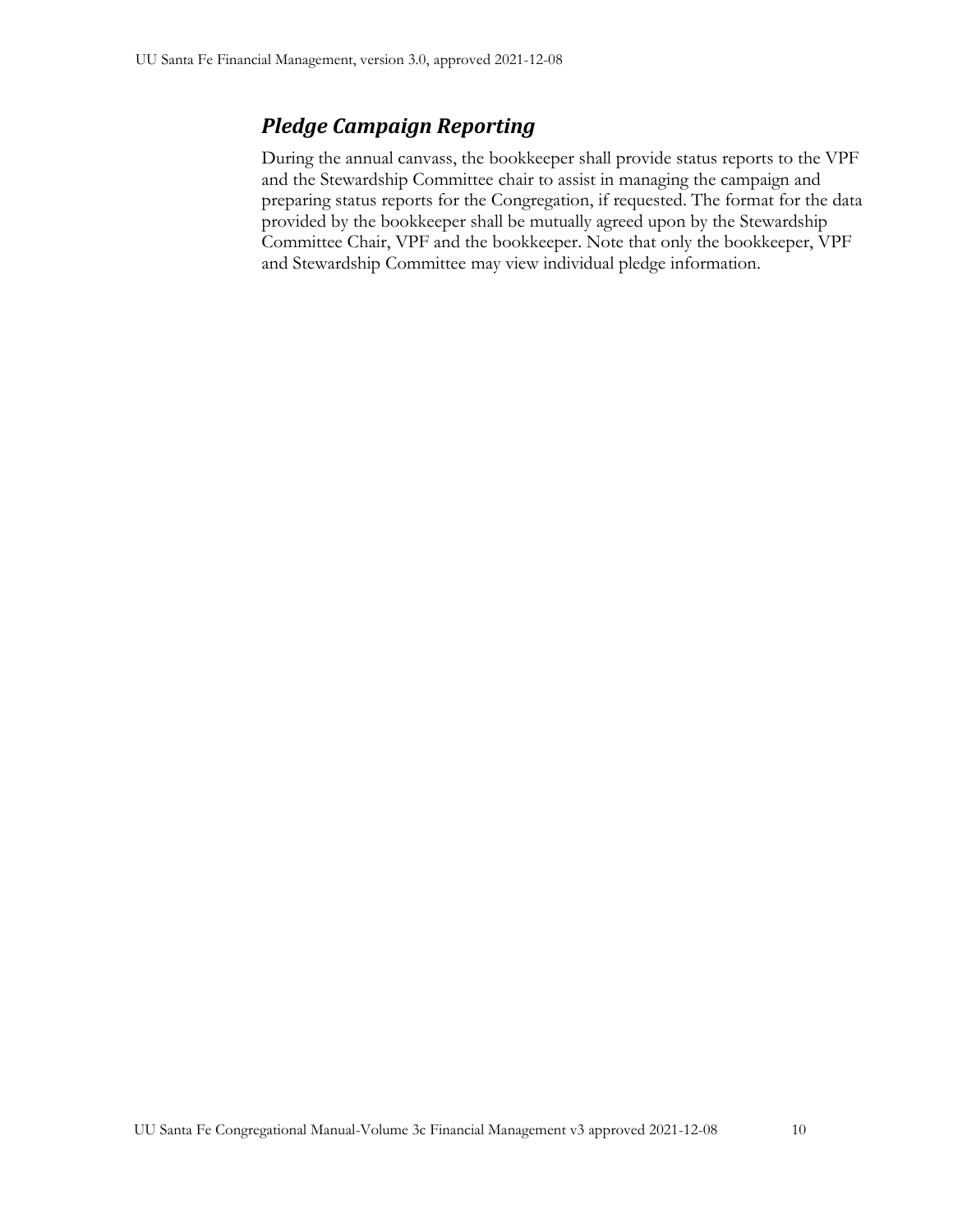## <span id="page-13-0"></span>*Pledge Campaign Reporting*

During the annual canvass, the bookkeeper shall provide status reports to the VPF and the Stewardship Committee chair to assist in managing the campaign and preparing status reports for the Congregation, if requested. The format for the data provided by the bookkeeper shall be mutually agreed upon by the Stewardship Committee Chair, VPF and the bookkeeper. Note that only the bookkeeper, VPF and Stewardship Committee may view individual pledge information.